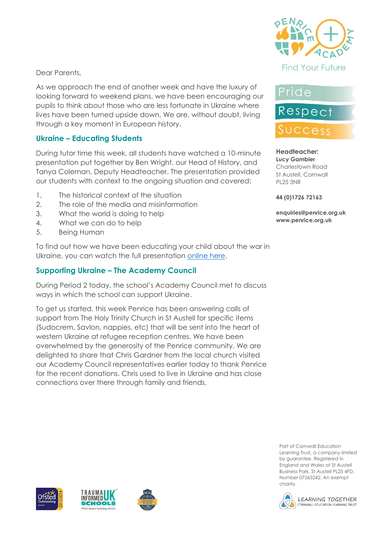

Dear Parents,

As we approach the end of another week and have the luxury of looking forward to weekend plans, we have been encouraging our pupils to think about those who are less fortunate in Ukraine where lives have been turned upside down. We are, without doubt, living through a key moment in European history.

#### **Ukraine – Educating Students**

During tutor time this week, all students have watched a 10-minute presentation put together by Ben Wright, our Head of History, and Tanya Coleman, Deputy Headteacher. The presentation provided our students with context to the ongoing situation and covered:

- 1. The historical context of the situation
- 2. The role of the media and misinformation
- 3. What the world is doing to help
- 4. What we can do to help
- 5. Being Human

To find out how we have been educating your child about the war in Ukraine, you can watch the full presentation [online here.](https://www.loom.com/share/a2b56679b48245caae863dcd965061d3)

#### **Supporting Ukraine – The Academy Council**

During Period 2 today, the school's Academy Council met to discuss ways in which the school can support Ukraine.

To get us started, this week Penrice has been answering calls of support from The Holy Trinity Church in St Austell for specific items (Sudocrem, Savlon, nappies, etc) that will be sent into the heart of western Ukraine at refugee reception centres. We have been overwhelmed by the generosity of the Penrice community. We are delighted to share that Chris Gardner from the local church visited our Academy Council representatives earlier today to thank Penrice for the recent donations. Chris used to live in Ukraine and has close connections over there through family and friends.

## Pride



#### **Headteacher: Lucy Gambier** Charlestown Road St Austell, Cornwall PL25 3NR

#### **44 (0)1726 72163**

**enquiries@penrice.org.uk www.penrice.org.uk**









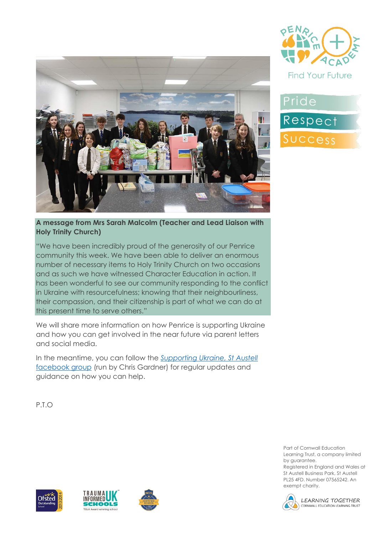





**A message from Mrs Sarah Malcolm (Teacher and Lead Liaison with Holy Trinity Church)**

"We have been incredibly proud of the generosity of our Penrice community this week. We have been able to deliver an enormous number of necessary items to Holy Trinity Church on two occasions and as such we have witnessed Character Education in action. It has been wonderful to see our community responding to the conflict in Ukraine with resourcefulness; knowing that their neighbourliness, their compassion, and their citizenship is part of what we can do at this present time to serve others."

We will share more information on how Penrice is supporting Ukraine and how you can get involved in the near future via parent letters and social media.

In the meantime, you can follow the *[Supporting Ukraine, St Austell](https://www.facebook.com/groups/271555171764371)*  [facebook group](https://www.facebook.com/groups/271555171764371) (run by Chris Gardner) for regular updates and guidance on how you can help.

P.T.O







Part of Cornwall Education Learning Trust, a company limited by guarantee.

Registered in England and Wales at St Austell Business Park, St Austell PL25 4FD. Number 07565242. An exempt charity.



LEARNING TOGETHER CORNWALL EDUCATION LEARNING TRUST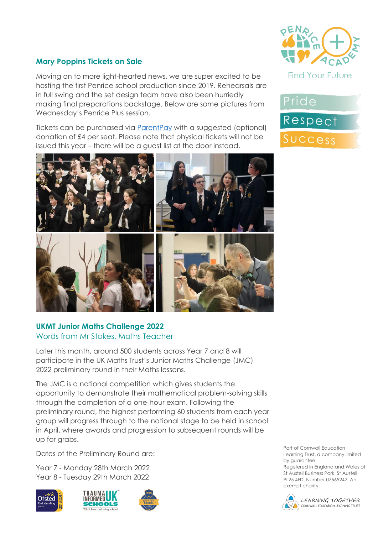

#### **Mary Poppins Tickets on Sale**

Moving on to more light-hearted news, we are super excited to be hosting the first Penrice school production since 2019. Rehearsals are in full swing and the set design team have also been hurriedly making final preparations backstage. Below are some pictures from Wednesday's Penrice Plus session.

Tickets can be purchased via [ParentPay](https://www.parentpay.com/) with a suggested (optional) donation of £4 per seat. Please note that physical tickets will not be issued this year – there will be a guest list at the door instead.



#### **UKMT Junior Maths Challenge 2022** Words from Mr Stokes, Maths Teacher

Later this month, around 500 students across Year 7 and 8 will participate in the UK Maths Trust's Junior Maths Challenge (JMC) 2022 preliminary round in their Maths lessons.

The JMC is a national competition which gives students the opportunity to demonstrate their mathematical problem-solving skills through the completion of a one-hour exam. Following the preliminary round, the highest performing 60 students from each year group will progress through to the national stage to be held in school in April, where awards and progression to subsequent rounds will be up for grabs.

Dates of the Preliminary Round are:

Year 7 - Monday 28th March 2022 Year 8 - Tuesday 29th March 2022







Part of Cornwall Education Learning Trust, a company limited by guarantee. Registered in England and Wales at

St Austell Business Park, St Austell PL25 4FD. Number 07565242. An exempt charity.



LEARNING TOGETHER CORNWALL EDUCATION LEARNING TRUST

**Find Your Future** 

Pride

Respect

Success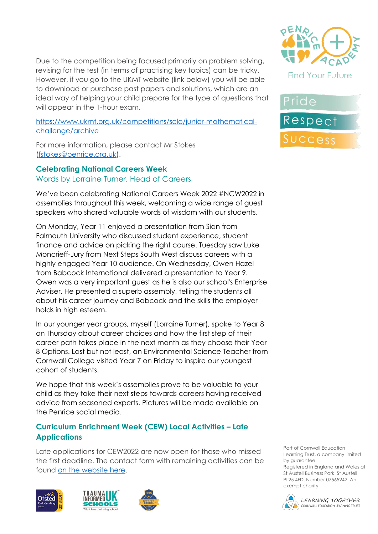Due to the competition being focused primarily on problem solving, revising for the test (in terms of practising key topics) can be tricky. However, if you go to the UKMT website (link below) you will be able to download or purchase past papers and solutions, which are an ideal way of helping your child prepare for the type of questions that will appear in the 1-hour exam.

[https://www.ukmt.org.uk/competitions/solo/junior-mathematical](https://www.ukmt.org.uk/competitions/solo/junior-mathematical-challenge/archive)[challenge/archive](https://www.ukmt.org.uk/competitions/solo/junior-mathematical-challenge/archive)

For more information, please contact Mr Stokes [\(fstokes@penrice.org.uk\)](mailto:fstokes@penrice.org.uk).

**Celebrating National Careers Week** Words by Lorraine Turner, Head of Careers

We've been celebrating National Careers Week 2022 #NCW2022 in assemblies throughout this week, welcoming a wide range of guest speakers who shared valuable words of wisdom with our students.

On Monday, Year 11 enjoyed a presentation from Sian from Falmouth University who discussed student experience, student finance and advice on picking the right course. Tuesday saw Luke Moncrieff-Jury from Next Steps South West discuss careers with a highly engaged Year 10 audience. On Wednesday, Owen Hazel from Babcock International delivered a presentation to Year 9. Owen was a very important guest as he is also our school's Enterprise Adviser. He presented a superb assembly, telling the students all about his career journey and Babcock and the skills the employer holds in high esteem.

In our younger year groups, myself (Lorraine Turner), spoke to Year 8 on Thursday about career choices and how the first step of their career path takes place in the next month as they choose their Year 8 Options. Last but not least, an Environmental Science Teacher from Cornwall College visited Year 7 on Friday to inspire our youngest cohort of students.

We hope that this week's assemblies prove to be valuable to your child as they take their next steps towards careers having received advice from seasoned experts. Pictures will be made available on the Penrice social media.

## **Curriculum Enrichment Week (CEW) Local Activities – Late Applications**

Late applications for CEW2022 are now open for those who missed the first deadline. The contact form with remaining activities can be found [on the website here.](https://www.penriceacademy.org/experience-penrice/cew-2022/)











Part of Cornwall Education Learning Trust, a company limited by guarantee.

Registered in England and Wales at St Austell Business Park, St Austell PL25 4FD. Number 07565242. An exempt charity.

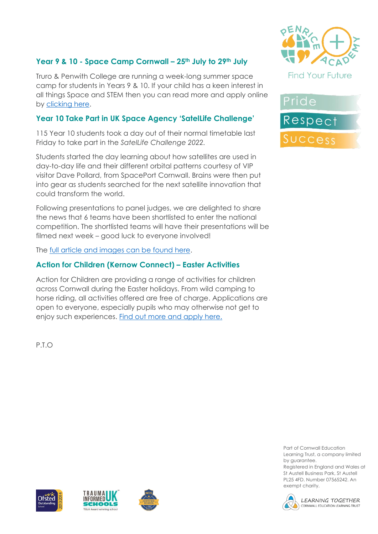## **Year 9 & 10 - Space Camp Cornwall – 25th July to 29th July**

Truro & Penwith College are running a week-long summer space camp for students in Years 9 & 10. If your child has a keen interest in all things Space and STEM then you can read more and apply online by [clicking here.](https://www.eventbrite.co.uk/e/space-camp-cornwall-tickets-247254905077)

#### **Year 10 Take Part in UK Space Agency 'SatelLife Challenge'**

115 Year 10 students took a day out of their normal timetable last Friday to take part in the *SatelLife Challenge 2022.*

Students started the day learning about how satellites are used in day-to-day life and their different orbital patterns courtesy of VIP visitor Dave Pollard, from SpacePort Cornwall. Brains were then put into gear as students searched for the next satellite innovation that could transform the world.

Following presentations to panel judges, we are delighted to share the news that 6 teams have been shortlisted to enter the national competition. The shortlisted teams will have their presentations will be filmed next week – good luck to everyone involved!

The [full article and images can be found here.](https://www.penriceacademy.org/year-10-compete-in-uk-space-agency-satellife2022-challenge/)

#### **Action for Children (Kernow Connect) – Easter Activities**

Action for Children are providing a range of activities for children across Cornwall during the Easter holidays. From wild camping to horse riding, all activities offered are free of charge. Applications are open to everyone, especially pupils who may otherwise not get to enjoy such experiences. [Find out more and apply here.](https://services.actionforchildren.org.uk/kernow-connect/for-young-people/whats-happening-in-your-community/book-your-place-at-one-of-our-activities-over-the-easter-break/)

**Find Your Future** 



P.T.O

Part of Cornwall Education Learning Trust, a company limited by guarantee.

Registered in England and Wales at St Austell Business Park, St Austell PL25 4FD. Number 07565242. An exempt charity.



LEARNING TOGETHER CORNWALL EDUCATION LEARNING TRUST